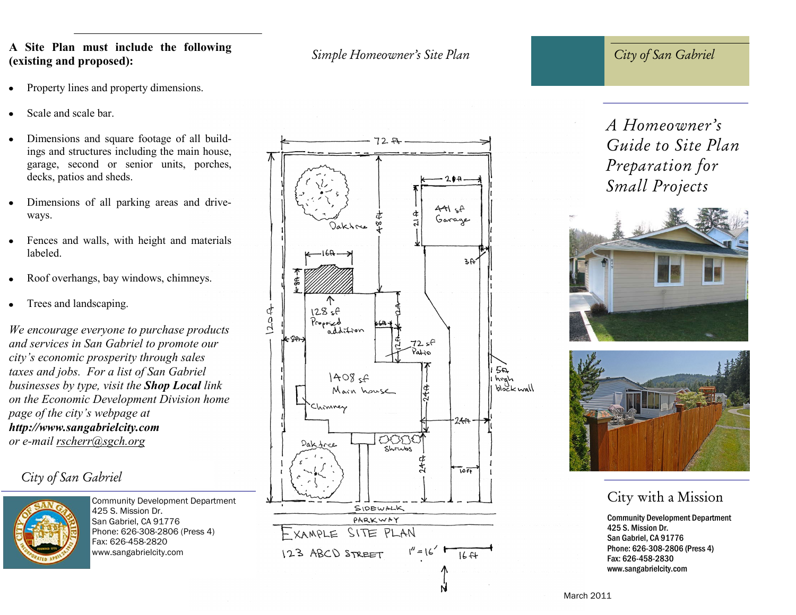#### *Simple Homeowner's Site Plan* **A Site Plan must include the following (existing and proposed):**

- Property lines and property dimensions.
- Scale and scale bar.
- Dimensions and square footage of all buildings and structures including the main house, garage, second or senior units, porches, decks, patios and sheds.
- Dimensions of all parking areas and driveways.
- Fences and walls, with height and materials labeled.
- Roof overhangs, bay windows, chimneys.
- Trees and landscaping.

*We encourage everyone to purchase products and services in San Gabriel to promote our city's economic prosperity through sales taxes and jobs. For a list of San Gabriel businesses by type, visit the Shop Local link on the Economic Development Division home page of the city's webpage at http://www.sangabrielcity.com or e-mail rscherr@sgch.org*

## *City of San Gabriel*



Community Development Department 425 S. Mission Dr. San Gabriel, CA 91776 Phone: 626-308-2806 (Press 4) Fax: 626-458-2820 www.sangabrielcity.com



*City of San Gabriel*

# *A Homeowner's Guide to Site Plan Preparation for Small Projects*





## City with a Mission

Community Development Department 425 S. Mission Dr. San Gabriel, CA 91776 Phone: 626-308-2806 (Press 4) Fax: 626-458-2830 www.sangabrielcity.com